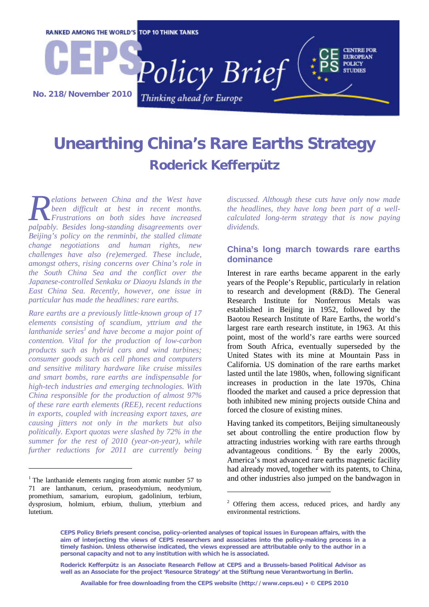

## **Unearthing China's Rare Earths Strategy Roderick Kefferpütz**

*elations between China and the West have been difficult at best in recent months. Frustrations on both sides have increased palpably. Besides long-standing disagreements over alifficult at best in recent months.*<br> *Palpably. Besides long-standing disagreements over Beijing's policy on the renminbi, the stalled climate change negotiations and human rights, new challenges have also (re)emerged. These include, amongst others, rising concerns over China's role in the South China Sea and the conflict over the Japanese-controlled Senkaku or Diaoyu Islands in the East China Sea. Recently, however, one issue in particular has made the headlines: rare earths.* 

*Rare earths are a previously little-known group of 17 elements consisting of scandium, yttrium and the lanthanide series<sup>1</sup> and have become a major point of contention. Vital for the production of low-carbon products such as hybrid cars and wind turbines; consumer goods such as cell phones and computers and sensitive military hardware like cruise missiles and smart bombs, rare earths are indispensable for high-tech industries and emerging technologies. With China responsible for the production of almost 97% of these rare earth elements (REE), recent reductions in exports, coupled with increasing export taxes, are causing jitters not only in the markets but also politically. Export quotas were slashed by 72% in the summer for the rest of 2010 (year-on-year), while further reductions for 2011 are currently being* 

1

*discussed. Although these cuts have only now made the headlines, they have long been part of a wellcalculated long-term strategy that is now paying dividends.* 

## **China's long march towards rare earths dominance**

Interest in rare earths became apparent in the early years of the People's Republic, particularly in relation to research and development (R&D). The General Research Institute for Nonferrous Metals was established in Beijing in 1952, followed by the Baotou Research Institute of Rare Earths, the world's largest rare earth research institute, in 1963. At this point, most of the world's rare earths were sourced from South Africa, eventually superseded by the United States with its mine at Mountain Pass in California. US domination of the rare earths market lasted until the late 1980s, when, following significant increases in production in the late 1970s, China flooded the market and caused a price depression that both inhibited new mining projects outside China and forced the closure of existing mines.

Having tanked its competitors, Beijing simultaneously set about controlling the entire production flow by attracting industries working with rare earths through advantageous conditions.  $2$  By the early 2000s, America's most advanced rare earths magnetic facility had already moved, together with its patents, to China, and other industries also jumped on the bandwagon in

<u>.</u>

**Roderick Kefferpütz is an Associate Research Fellow at CEPS and a Brussels-based Political Advisor as well as an Associate for the project 'Resource Strategy' at the Stiftung neue Verantwortung in Berlin.** 

 $1$  The lanthanide elements ranging from atomic number 57 to 71 are lanthanum, cerium, praseodymium, neodymium, promethium, samarium, europium, gadolinium, terbium, dysprosium, holmium, erbium, thulium, ytterbium and lutetium.

Offering them access, reduced prices, and hardly any environmental restrictions.

**CEPS Policy Briefs present concise, policy-oriented analyses of topical issues in European affairs, with the aim of interjecting the views of CEPS researchers and associates into the policy-making process in a timely fashion. Unless otherwise indicated, the views expressed are attributable only to the author in a personal capacity and not to any institution with which he is associated.**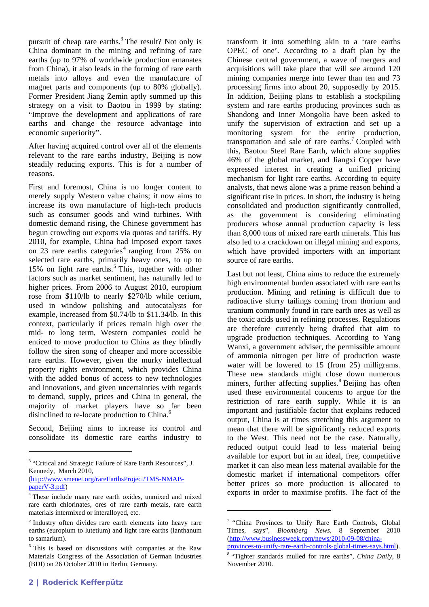pursuit of cheap rare earths.<sup>3</sup> The result? Not only is China dominant in the mining and refining of rare earths (up to 97% of worldwide production emanates from China), it also leads in the forming of rare earth metals into alloys and even the manufacture of magnet parts and components (up to 80% globally). Former President Jiang Zemin aptly summed up this strategy on a visit to Baotou in 1999 by stating: "Improve the development and applications of rare earths and change the resource advantage into economic superiority".

After having acquired control over all of the elements relevant to the rare earths industry, Beijing is now steadily reducing exports. This is for a number of reasons.

First and foremost, China is no longer content to merely supply Western value chains; it now aims to increase its own manufacture of high-tech products such as consumer goods and wind turbines. With domestic demand rising, the Chinese government has begun crowding out exports via quotas and tariffs. By 2010, for example, China had imposed export taxes on 23 rare earths categories<sup>4</sup> ranging from 25% on selected rare earths, primarily heavy ones, to up to 15% on light rare earths.<sup>5</sup> This, together with other factors such as market sentiment, has naturally led to higher prices. From 2006 to August 2010, europium rose from \$110/lb to nearly \$270/lb while cerium, used in window polishing and autocatalysts for example, increased from \$0.74/lb to \$11.34/lb. In this context, particularly if prices remain high over the mid- to long term, Western companies could be enticed to move production to China as they blindly follow the siren song of cheaper and more accessible rare earths. However, given the murky intellectual property rights environment, which provides China with the added bonus of access to new technologies and innovations, and given uncertainties with regards to demand, supply, prices and China in general, the majority of market players have so far been disinclined to re-locate production to China.<sup>6</sup>

Second, Beijing aims to increase its control and consolidate its domestic rare earths industry to transform it into something akin to a 'rare earths OPEC of one'. According to a draft plan by the Chinese central government, a wave of mergers and acquisitions will take place that will see around 120 mining companies merge into fewer than ten and 73 processing firms into about 20, supposedly by 2015. In addition, Beijing plans to establish a stockpiling system and rare earths producing provinces such as Shandong and Inner Mongolia have been asked to unify the supervision of extraction and set up a monitoring system for the entire production, transportation and sale of rare earths.<sup>7</sup> Coupled with this, Baotou Steel Rare Earth, which alone supplies 46% of the global market, and Jiangxi Copper have expressed interest in creating a unified pricing mechanism for light rare earths. According to equity analysts, that news alone was a prime reason behind a significant rise in prices. In short, the industry is being consolidated and production significantly controlled, as the government is considering eliminating producers whose annual production capacity is less than 8,000 tons of mixed rare earth minerals. This has also led to a crackdown on illegal mining and exports, which have provided importers with an important source of rare earths.

Last but not least, China aims to reduce the extremely high environmental burden associated with rare earths production. Mining and refining is difficult due to radioactive slurry tailings coming from thorium and uranium commonly found in rare earth ores as well as the toxic acids used in refining processes. Regulations are therefore currently being drafted that aim to upgrade production techniques. According to Yang Wanxi, a government adviser, the permissible amount of ammonia nitrogen per litre of production waste water will be lowered to 15 (from 25) milligrams. These new standards might close down numerous miners, further affecting supplies.<sup>8</sup> Beijing has often used these environmental concerns to argue for the restriction of rare earth supply. While it is an important and justifiable factor that explains reduced output, China is at times stretching this argument to mean that there will be significantly reduced exports to the West. This need not be the case. Naturally, reduced output could lead to less material being available for export but in an ideal, free, competitive market it can also mean less material available for the domestic market if international competitors offer better prices so more production is allocated to exports in order to maximise profits. The fact of the

<u>.</u>

provinces-to-unify-rare-earth-controls-global-times-says.html). 8

-

<sup>&</sup>lt;sup>3</sup> "Critical and Strategic Failure of Rare Earth Resources", J. Kennedy, March 2010,

<sup>(</sup>http://www.smenet.org/rareEarthsProject/TMS-NMAB $paperV-3.pdf$ 

<sup>&</sup>lt;sup>4</sup> These include many rare earth oxides, unmixed and mixed rare earth chlorinates, ores of rare earth metals, rare earth materials intermixed or interalloyed, etc.

<sup>&</sup>lt;sup>5</sup> Industry often divides rare earth elements into heavy rare earths (europium to lutetium) and light rare earths (lanthanum to samarium).

<sup>6</sup> This is based on discussions with companies at the Raw Materials Congress of the Association of German Industries (BDI) on 26 October 2010 in Berlin, Germany.

<sup>7 &</sup>quot;China Provinces to Unify Rare Earth Controls, Global Times, says", *Bloomberg News,* 8 September 2010 (http://www.businessweek.com/news/2010-09-08/china-

 <sup>&</sup>quot;Tighter standards mulled for rare earths", *China Daily*, 8 November 2010.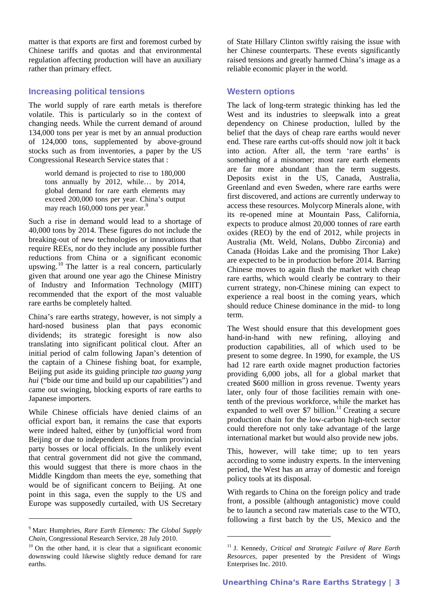matter is that exports are first and foremost curbed by Chinese tariffs and quotas and that environmental regulation affecting production will have an auxiliary rather than primary effect.

## **Increasing political tensions**

The world supply of rare earth metals is therefore volatile. This is particularly so in the context of changing needs. While the current demand of around 134,000 tons per year is met by an annual production of 124,000 tons, supplemented by above-ground stocks such as from inventories, a paper by the US Congressional Research Service states that :

world demand is projected to rise to 180,000 tons annually by 2012, while… by 2014, global demand for rare earth elements may exceed 200,000 tons per year. China's output may reach 160,000 tons per year.<sup>9</sup>

Such a rise in demand would lead to a shortage of 40,000 tons by 2014. These figures do not include the breaking-out of new technologies or innovations that require REEs, nor do they include any possible further reductions from China or a significant economic upswing.<sup>10</sup> The latter is a real concern, particularly given that around one year ago the Chinese Ministry of Industry and Information Technology (MIIT) recommended that the export of the most valuable rare earths be completely halted.

China's rare earths strategy, however, is not simply a hard-nosed business plan that pays economic dividends; its strategic foresight is now also translating into significant political clout. After an initial period of calm following Japan's detention of the captain of a Chinese fishing boat, for example, Beijing put aside its guiding principle *tao guang yang hui* ("bide our time and build up our capabilities") and came out swinging, blocking exports of rare earths to Japanese importers.

While Chinese officials have denied claims of an official export ban, it remains the case that exports were indeed halted, either by (un)official word from Beijing or due to independent actions from provincial party bosses or local officials. In the unlikely event that central government did not give the command, this would suggest that there is more chaos in the Middle Kingdom than meets the eye, something that would be of significant concern to Beijing. At one point in this saga, even the supply to the US and Europe was supposedly curtailed, with US Secretary

-

of State Hillary Clinton swiftly raising the issue with her Chinese counterparts. These events significantly raised tensions and greatly harmed China's image as a reliable economic player in the world.

## **Western options**

The lack of long-term strategic thinking has led the West and its industries to sleepwalk into a great dependency on Chinese production, lulled by the belief that the days of cheap rare earths would never end. These rare earths cut-offs should now jolt it back into action. After all, the term 'rare earths' is something of a misnomer; most rare earth elements are far more abundant than the term suggests. Deposits exist in the US, Canada, Australia, Greenland and even Sweden, where rare earths were first discovered, and actions are currently underway to access these resources. Molycorp Minerals alone, with its re-opened mine at Mountain Pass, California, expects to produce almost 20,000 tonnes of rare earth oxides (REO) by the end of 2012, while projects in Australia (Mt. Weld, Nolans, Dubbo Zirconia) and Canada (Hoidas Lake and the promising Thor Lake) are expected to be in production before 2014. Barring Chinese moves to again flush the market with cheap rare earths, which would clearly be contrary to their current strategy, non-Chinese mining can expect to experience a real boost in the coming years, which should reduce Chinese dominance in the mid- to long term.

The West should ensure that this development goes hand-in-hand with new refining, alloying and production capabilities, all of which used to be present to some degree. In 1990, for example, the US had 12 rare earth oxide magnet production factories providing 6,000 jobs, all for a global market that created \$600 million in gross revenue. Twenty years later, only four of those facilities remain with onetenth of the previous workforce, while the market has expanded to well over \$7 billion.<sup>11</sup> Creating a secure production chain for the low-carbon high-tech sector could therefore not only take advantage of the large international market but would also provide new jobs.

This, however, will take time; up to ten years according to some industry experts. In the intervening period, the West has an array of domestic and foreign policy tools at its disposal.

With regards to China on the foreign policy and trade front, a possible (although antagonistic) move could be to launch a second raw materials case to the WTO, following a first batch by the US, Mexico and the

<u>.</u>

<sup>9</sup> Marc Humphries, *Rare Earth Elements: The Global Supply Chain*, Congressional Research Service, 28 July 2010.<br><sup>10</sup> On the other hand, it is clear that a significant economic

downswing could likewise slightly reduce demand for rare earths.

<sup>11</sup> J. Kennedy, *Critical and Strategic Failure of Rare Earth Resources*, paper presented by the President of Wings Enterprises Inc. 2010.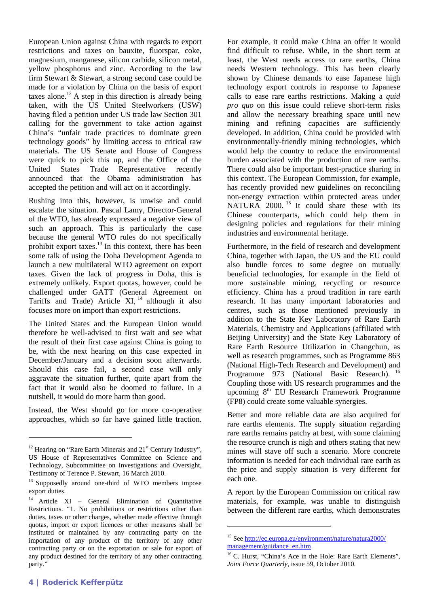European Union against China with regards to export restrictions and taxes on bauxite, fluorspar, coke, magnesium, manganese, silicon carbide, silicon metal, yellow phosphorus and zinc. According to the law firm Stewart & Stewart, a strong second case could be made for a violation by China on the basis of export taxes alone.<sup>12</sup> A step in this direction is already being taken, with the US United Steelworkers (USW) having filed a petition under US trade law Section 301 calling for the government to take action against China's "unfair trade practices to dominate green technology goods" by limiting access to critical raw materials. The US Senate and House of Congress were quick to pick this up, and the Office of the United States Trade Representative recently announced that the Obama administration has accepted the petition and will act on it accordingly.

Rushing into this, however, is unwise and could escalate the situation. Pascal Lamy, Director-General of the WTO, has already expressed a negative view of such an approach. This is particularly the case because the general WTO rules do not specifically prohibit export taxes. $^{13}$  In this context, there has been some talk of using the Doha Development Agenda to launch a new multilateral WTO agreement on export taxes. Given the lack of progress in Doha, this is extremely unlikely. Export quotas, however, could be challenged under GATT (General Agreement on Tariffs and Trade) Article  $XI$ ,  $^{14}$  although it also focuses more on import than export restrictions.

The United States and the European Union would therefore be well-advised to first wait and see what the result of their first case against China is going to be, with the next hearing on this case expected in December/January and a decision soon afterwards. Should this case fail, a second case will only aggravate the situation further, quite apart from the fact that it would also be doomed to failure. In a nutshell, it would do more harm than good.

Instead, the West should go for more co-operative approaches, which so far have gained little traction.

For example, it could make China an offer it would find difficult to refuse. While, in the short term at least, the West needs access to rare earths, China needs Western technology. This has been clearly shown by Chinese demands to ease Japanese high technology export controls in response to Japanese calls to ease rare earths restrictions. Making a *quid pro quo* on this issue could relieve short-term risks and allow the necessary breathing space until new mining and refining capacities are sufficiently developed. In addition, China could be provided with environmentally-friendly mining technologies, which would help the country to reduce the environmental burden associated with the production of rare earths. There could also be important best-practice sharing in this context. The European Commission, for example, has recently provided new guidelines on reconciling non-energy extraction within protected areas under NATURA 2000.<sup>15</sup> It could share these with its Chinese counterparts, which could help them in designing policies and regulations for their mining industries and environmental heritage.

Furthermore, in the field of research and development China, together with Japan, the US and the EU could also bundle forces to some degree on mutually beneficial technologies, for example in the field of more sustainable mining, recycling or resource efficiency. China has a proud tradition in rare earth research. It has many important laboratories and centres, such as those mentioned previously in addition to the State Key Laboratory of Rare Earth Materials, Chemistry and Applications (affiliated with Beijing University) and the State Key Laboratory of Rare Earth Resource Utilization in Changchun, as well as research programmes, such as Programme 863 (National High-Tech Research and Development) and Programme 973 (National Basic Research). <sup>16</sup> Coupling those with US research programmes and the upcoming 8<sup>th</sup> EU Research Framework Programme (FP8) could create some valuable synergies.

Better and more reliable data are also acquired for rare earths elements. The supply situation regarding rare earths remains patchy at best, with some claiming the resource crunch is nigh and others stating that new mines will stave off such a scenario. More concrete information is needed for each individual rare earth as the price and supply situation is very different for each one.

A report by the European Commission on critical raw materials, for example, was unable to distinguish between the different rare earths, which demonstrates

-

1

 $12$  Hearing on "Rare Earth Minerals and  $21<sup>st</sup>$  Century Industry", US House of Representatives Committee on Science and Technology, Subcommittee on Investigations and Oversight, Testimony of Terence P. Stewart, 16 March 2010.

<sup>&</sup>lt;sup>13</sup> Supposedly around one-third of WTO members impose export duties.

<sup>&</sup>lt;sup>14</sup> Article XI – General Elimination of Quantitative Restrictions. "1. No prohibitions or restrictions other than duties, taxes or other charges, whether made effective through quotas, import or export licences or other measures shall be instituted or maintained by any contracting party on the importation of any product of the territory of any other contracting party or on the exportation or sale for export of any product destined for the territory of any other contracting party."

<sup>15</sup> See http://ec.europa.eu/environment/nature/natura2000/ management/guidance\_en.htm

<sup>&</sup>lt;sup>16</sup> C. Hurst, "China's Ace in the Hole: Rare Earth Elements", *Joint Force Quarterly,* issue 59, October 2010.